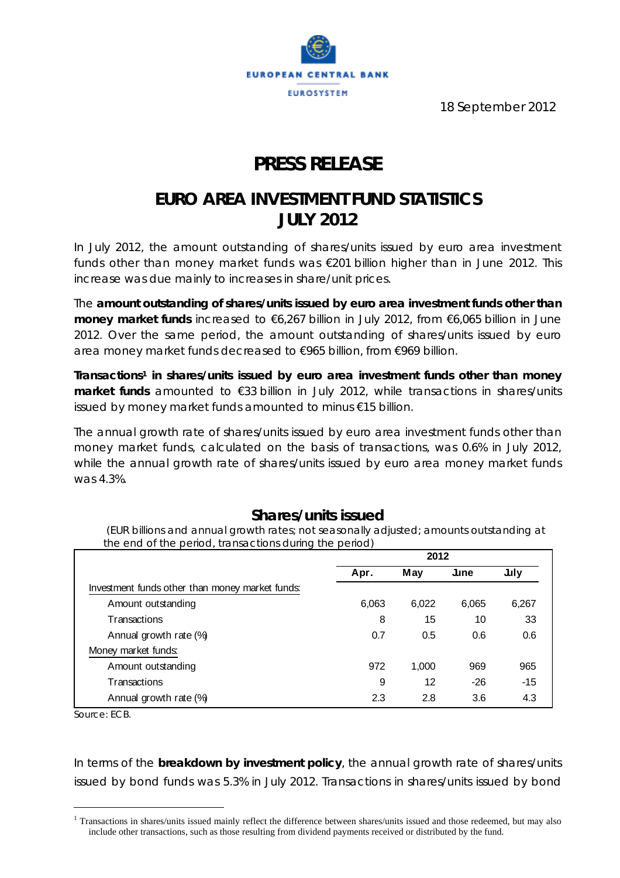

18 September 2012

# **PRESS RELEASE**

## **EURO AREA INVESTMENT FUND STATISTICS JULY 2012**

*In July 2012, the amount outstanding of shares/units issued by euro area investment*  funds other than money market funds was €201 billion higher than in June 2012. This *increase was due mainly to increases in share/unit prices.* 

The **amount outstanding of shares/units issued by euro area investment funds other than money market funds** increased to €6,267 billion in July 2012, from €6,065 billion in June 2012. Over the same period, the amount outstanding of shares/units issued by euro area money market funds decreased to €965 billion, from €969 billion.

**Transactions1 in shares/units issued by euro area investment funds other than money market funds** amounted to €33 billion in July 2012, while transactions in shares/units issued by money market funds amounted to minus €15 billion.

The annual growth rate of shares/units issued by euro area investment funds other than money market funds, calculated on the basis of transactions, was 0.6% in July 2012, while the annual growth rate of shares/units issued by euro area money market funds was 4.3%.

### **Shares/units issued**

 *(EUR billions and annual growth rates; not seasonally adjusted; amounts outstanding at the end of the period, transactions during the period)* **2012**

|                                                 | ZUIZ  |       |              |       |  |
|-------------------------------------------------|-------|-------|--------------|-------|--|
|                                                 | Apr.  | May   | $\mathsf{L}$ | July  |  |
| Investment funds other than money market funds: |       |       |              |       |  |
| Amount outstanding                              | 6,063 | 6,022 | 6,065        | 6,267 |  |
| Transactions                                    | 8     | 15    | 10           | 33    |  |
| Annual growth rate (%)                          | 0.7   | 0.5   | 0.6          | 0.6   |  |
| Money market funds:                             |       |       |              |       |  |
| Amount outstanding                              | 972   | 1.000 | 969          | 965   |  |
| Transactions                                    | 9     | 12    | $-26$        | -15   |  |
| Annual growth rate (%)                          | 2.3   | 2.8   | 3.6          | 4.3   |  |

*Source: ECB.*

 $\overline{a}$ 

In terms of the **breakdown by investment policy**, the annual growth rate of shares/units issued by bond funds was 5.3% in July 2012. Transactions in shares/units issued by bond

<sup>&</sup>lt;sup>1</sup> Transactions in shares/units issued mainly reflect the difference between shares/units issued and those redeemed, but may also include other transactions, such as those resulting from dividend payments received or distributed by the fund.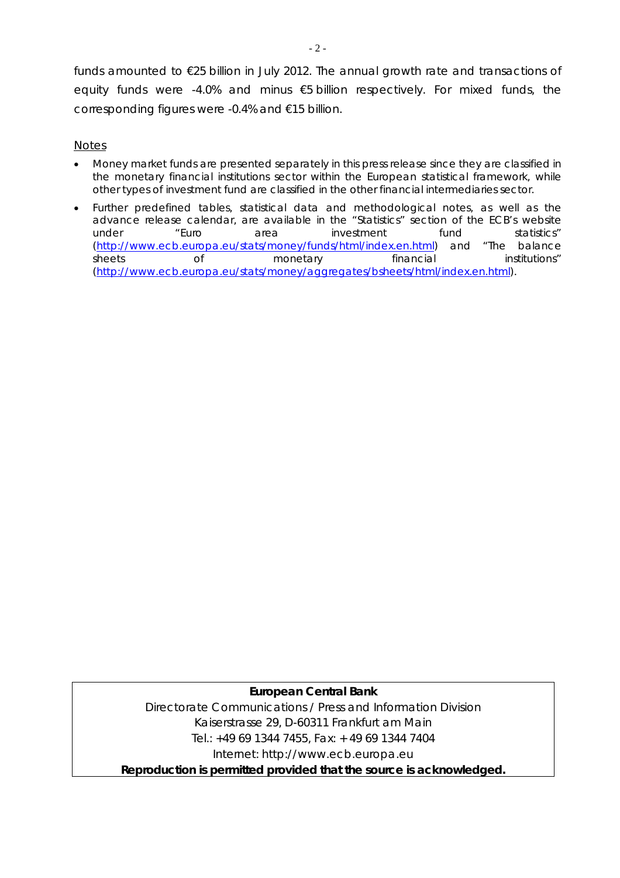funds amounted to €25 billion in July 2012. The annual growth rate and transactions of equity funds were -4.0% and minus €5 billion respectively. For mixed funds, the corresponding figures were -0.4% and €15 billion.

### *Notes*

- *Money market funds are presented separately in this press release since they are classified in the monetary financial institutions sector within the European statistical framework, while other types of investment fund are classified in the other financial intermediaries sector.*
- *Further predefined tables, statistical data and methodological notes, as well as the advance release calendar, are available in the "Statistics" section of the ECB's website under "Euro area investment fund statistics" (http://www.ecb.europa.eu/stats/money/funds/html/index.en.html) and "The balance sheets of monetary financial institutions" (http://www.ecb.europa.eu/stats/money/aggregates/bsheets/html/index.en.html).*

### **European Central Bank**

Directorate Communications / Press and Information Division Kaiserstrasse 29, D-60311 Frankfurt am Main Tel.: +49 69 1344 7455, Fax: + 49 69 1344 7404 Internet: http://www.ecb.europa.eu **Reproduction is permitted provided that the source is acknowledged.**